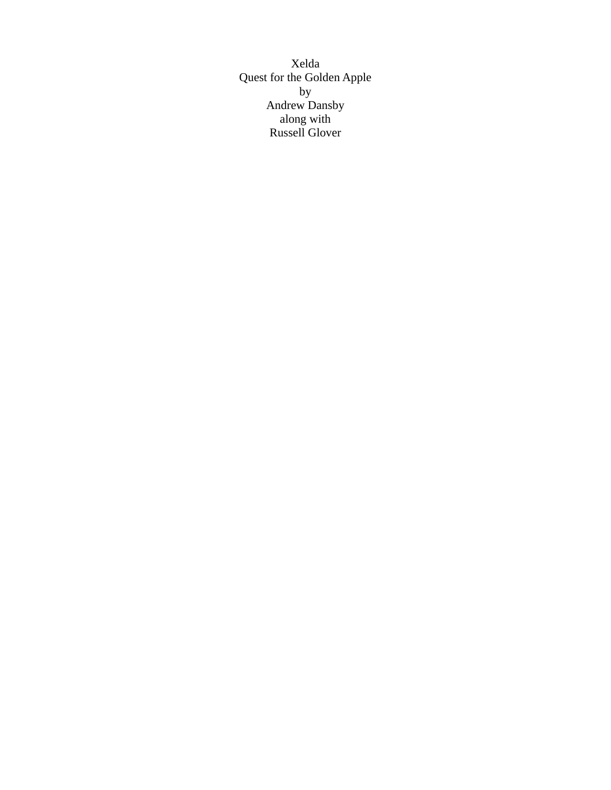Xelda Quest for the Golden Apple by Andrew Dansby along with Russell Glover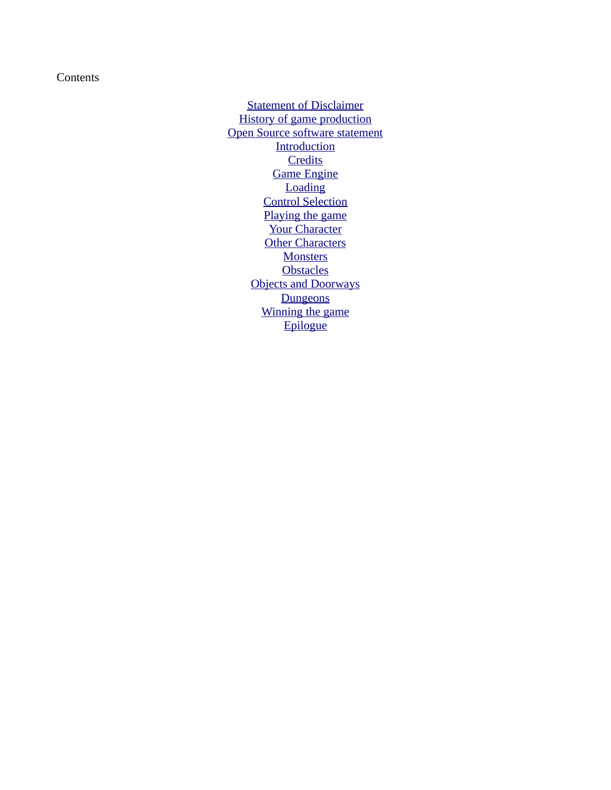**Contents** 

[Statement of Disclaimer](#page-2-0) [History of game production](#page-2-1) [Open Source software statement](#page-3-2) **[Introduction](#page-3-1) [Credits](#page-3-0)** [Game Engine](#page-4-1) **[Loading](#page-4-0)** [Control Selection](#page-6-0) [Playing the game](#page-10-1) [Your Character](#page-10-0) **[Other Characters](#page-11-0) [Monsters](#page-13-0) [Obstacles](#page-15-0)** [Objects and Doorways](#page-17-0) **[Dungeons](#page-18-2)** [Winning the game](#page-18-1) **[Epilogue](#page-18-0)**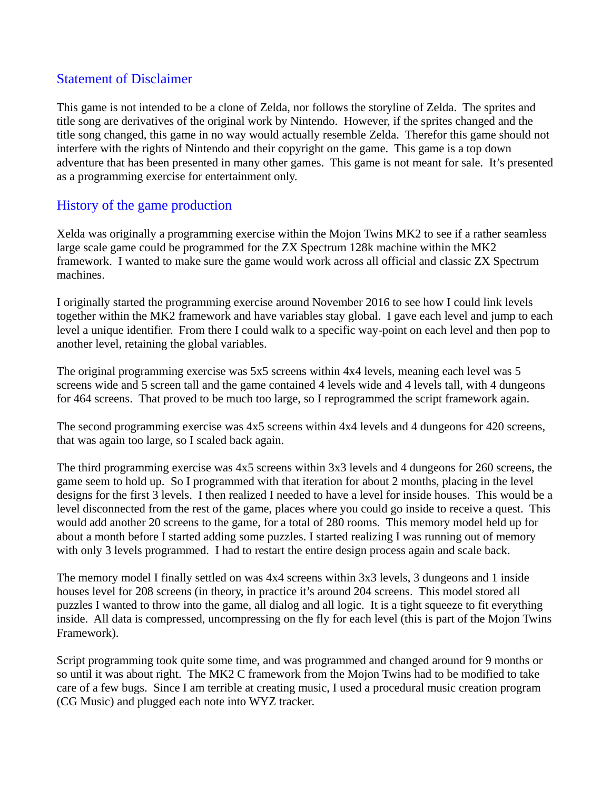#### <span id="page-2-0"></span>Statement of Disclaimer

This game is not intended to be a clone of Zelda, nor follows the storyline of Zelda. The sprites and title song are derivatives of the original work by Nintendo. However, if the sprites changed and the title song changed, this game in no way would actually resemble Zelda. Therefor this game should not interfere with the rights of Nintendo and their copyright on the game. This game is a top down adventure that has been presented in many other games. This game is not meant for sale. It's presented as a programming exercise for entertainment only.

# <span id="page-2-1"></span>History of the game production

Xelda was originally a programming exercise within the Mojon Twins MK2 to see if a rather seamless large scale game could be programmed for the ZX Spectrum 128k machine within the MK2 framework. I wanted to make sure the game would work across all official and classic ZX Spectrum machines.

I originally started the programming exercise around November 2016 to see how I could link levels together within the MK2 framework and have variables stay global. I gave each level and jump to each level a unique identifier. From there I could walk to a specific way-point on each level and then pop to another level, retaining the global variables.

The original programming exercise was 5x5 screens within 4x4 levels, meaning each level was 5 screens wide and 5 screen tall and the game contained 4 levels wide and 4 levels tall, with 4 dungeons for 464 screens. That proved to be much too large, so I reprogrammed the script framework again.

The second programming exercise was 4x5 screens within 4x4 levels and 4 dungeons for 420 screens, that was again too large, so I scaled back again.

The third programming exercise was 4x5 screens within 3x3 levels and 4 dungeons for 260 screens, the game seem to hold up. So I programmed with that iteration for about 2 months, placing in the level designs for the first 3 levels. I then realized I needed to have a level for inside houses. This would be a level disconnected from the rest of the game, places where you could go inside to receive a quest. This would add another 20 screens to the game, for a total of 280 rooms. This memory model held up for about a month before I started adding some puzzles. I started realizing I was running out of memory with only 3 levels programmed. I had to restart the entire design process again and scale back.

The memory model I finally settled on was 4x4 screens within 3x3 levels, 3 dungeons and 1 inside houses level for 208 screens (in theory, in practice it's around 204 screens. This model stored all puzzles I wanted to throw into the game, all dialog and all logic. It is a tight squeeze to fit everything inside. All data is compressed, uncompressing on the fly for each level (this is part of the Mojon Twins Framework).

Script programming took quite some time, and was programmed and changed around for 9 months or so until it was about right. The MK2 C framework from the Mojon Twins had to be modified to take care of a few bugs. Since I am terrible at creating music, I used a procedural music creation program (CG Music) and plugged each note into WYZ tracker.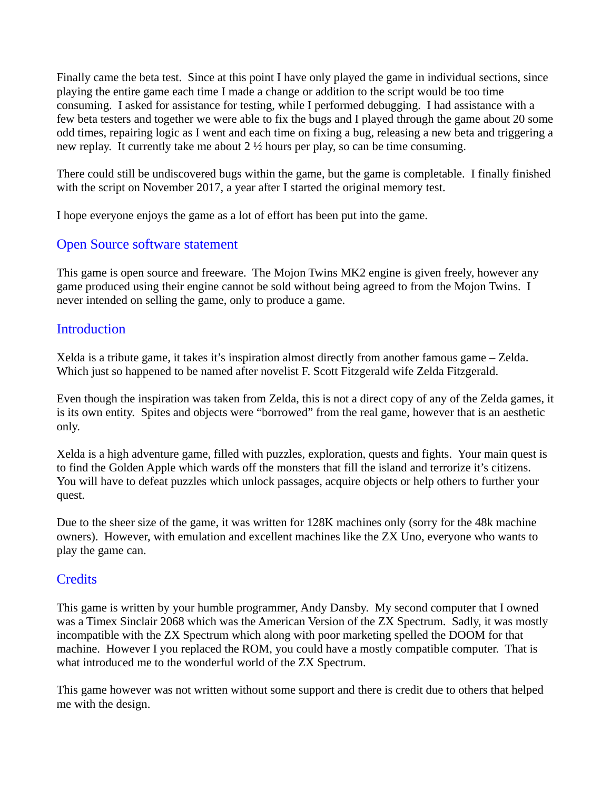Finally came the beta test. Since at this point I have only played the game in individual sections, since playing the entire game each time I made a change or addition to the script would be too time consuming. I asked for assistance for testing, while I performed debugging. I had assistance with a few beta testers and together we were able to fix the bugs and I played through the game about 20 some odd times, repairing logic as I went and each time on fixing a bug, releasing a new beta and triggering a new replay. It currently take me about  $2\frac{1}{2}$  hours per play, so can be time consuming.

There could still be undiscovered bugs within the game, but the game is completable. I finally finished with the script on November 2017, a year after I started the original memory test.

I hope everyone enjoys the game as a lot of effort has been put into the game.

#### <span id="page-3-2"></span>Open Source software statement

This game is open source and freeware. The Mojon Twins MK2 engine is given freely, however any game produced using their engine cannot be sold without being agreed to from the Mojon Twins. I never intended on selling the game, only to produce a game.

#### <span id="page-3-1"></span>**Introduction**

Xelda is a tribute game, it takes it's inspiration almost directly from another famous game – Zelda. Which just so happened to be named after novelist F. Scott Fitzgerald wife Zelda Fitzgerald.

Even though the inspiration was taken from Zelda, this is not a direct copy of any of the Zelda games, it is its own entity. Spites and objects were "borrowed" from the real game, however that is an aesthetic only.

Xelda is a high adventure game, filled with puzzles, exploration, quests and fights. Your main quest is to find the Golden Apple which wards off the monsters that fill the island and terrorize it's citizens. You will have to defeat puzzles which unlock passages, acquire objects or help others to further your quest.

Due to the sheer size of the game, it was written for 128K machines only (sorry for the 48k machine owners). However, with emulation and excellent machines like the ZX Uno, everyone who wants to play the game can.

#### <span id="page-3-0"></span>**Credits**

This game is written by your humble programmer, Andy Dansby. My second computer that I owned was a Timex Sinclair 2068 which was the American Version of the ZX Spectrum. Sadly, it was mostly incompatible with the ZX Spectrum which along with poor marketing spelled the DOOM for that machine. However I you replaced the ROM, you could have a mostly compatible computer. That is what introduced me to the wonderful world of the ZX Spectrum.

This game however was not written without some support and there is credit due to others that helped me with the design.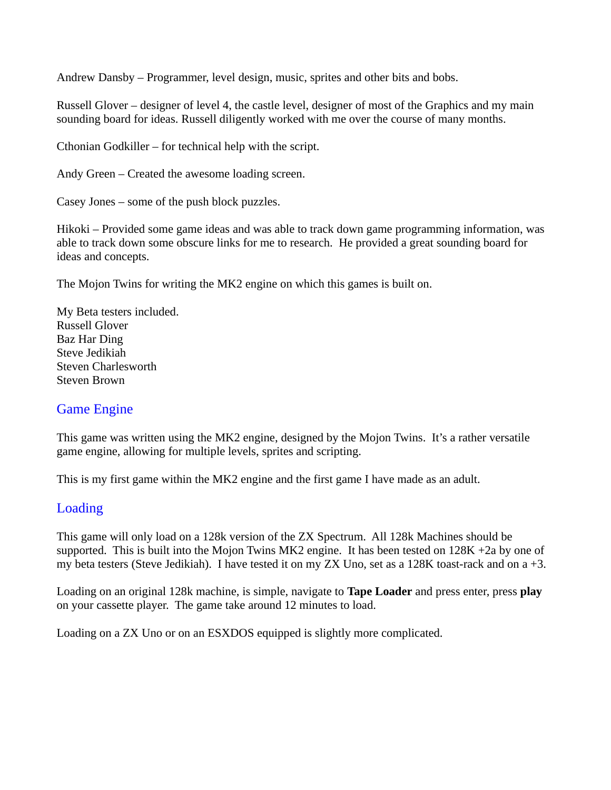Andrew Dansby – Programmer, level design, music, sprites and other bits and bobs.

Russell Glover – designer of level 4, the castle level, designer of most of the Graphics and my main sounding board for ideas. Russell diligently worked with me over the course of many months.

Cthonian Godkiller – for technical help with the script.

Andy Green – Created the awesome loading screen.

Casey Jones – some of the push block puzzles.

Hikoki – Provided some game ideas and was able to track down game programming information, was able to track down some obscure links for me to research. He provided a great sounding board for ideas and concepts.

The Mojon Twins for writing the MK2 engine on which this games is built on.

My Beta testers included. Russell Glover Baz Har Ding Steve Jedikiah Steven Charlesworth Steven Brown

#### <span id="page-4-1"></span>Game Engine

This game was written using the MK2 engine, designed by the Mojon Twins. It's a rather versatile game engine, allowing for multiple levels, sprites and scripting.

This is my first game within the MK2 engine and the first game I have made as an adult.

#### <span id="page-4-0"></span>Loading

This game will only load on a 128k version of the ZX Spectrum. All 128k Machines should be supported. This is built into the Mojon Twins MK2 engine. It has been tested on 128K +2a by one of my beta testers (Steve Jedikiah). I have tested it on my ZX Uno, set as a 128K toast-rack and on a +3.

Loading on an original 128k machine, is simple, navigate to **Tape Loader** and press enter, press **play** on your cassette player. The game take around 12 minutes to load.

Loading on a ZX Uno or on an ESXDOS equipped is slightly more complicated.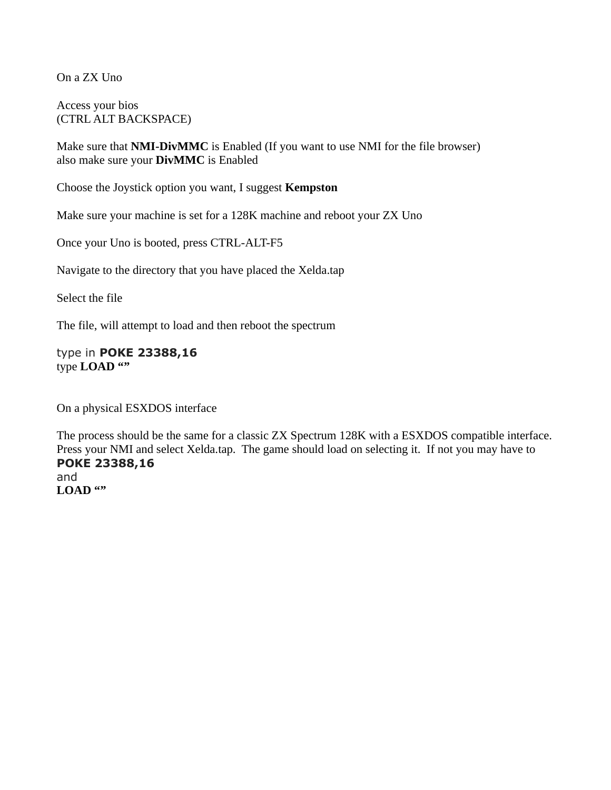On a ZX Uno

Access your bios (CTRL ALT BACKSPACE)

Make sure that **NMI-DivMMC** is Enabled (If you want to use NMI for the file browser) also make sure your **DivMMC** is Enabled

Choose the Joystick option you want, I suggest **Kempston**

Make sure your machine is set for a 128K machine and reboot your ZX Uno

Once your Uno is booted, press CTRL-ALT-F5

Navigate to the directory that you have placed the Xelda.tap

Select the file

The file, will attempt to load and then reboot the spectrum

type in **POKE 23388,16** type **LOAD ""**

On a physical ESXDOS interface

The process should be the same for a classic ZX Spectrum 128K with a ESXDOS compatible interface. Press your NMI and select Xelda.tap. The game should load on selecting it. If not you may have to **POKE 23388,16** and **LOAD ""**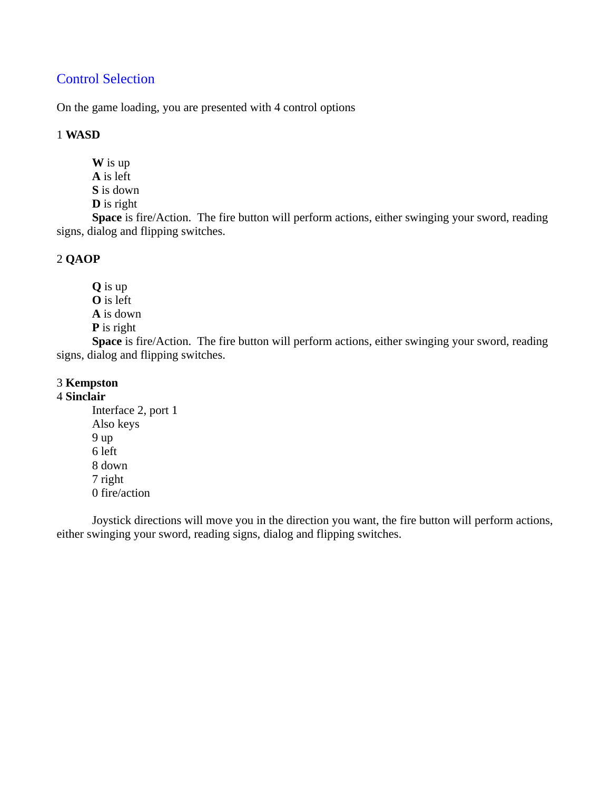## <span id="page-6-0"></span>Control Selection

On the game loading, you are presented with 4 control options

#### 1 **WASD**

**W** is up **A** is left **S** is down

**D** is right

**Space** is fire/Action. The fire button will perform actions, either swinging your sword, reading signs, dialog and flipping switches.

#### 2 **QAOP**

**Q** is up **O** is left **A** is down **P** is right

**Space** is fire/Action. The fire button will perform actions, either swinging your sword, reading signs, dialog and flipping switches.

#### 3 **Kempston**

#### 4 **Sinclair**

Interface 2, port 1 Also keys 9 up 6 left 8 down 7 right 0 fire/action

Joystick directions will move you in the direction you want, the fire button will perform actions, either swinging your sword, reading signs, dialog and flipping switches.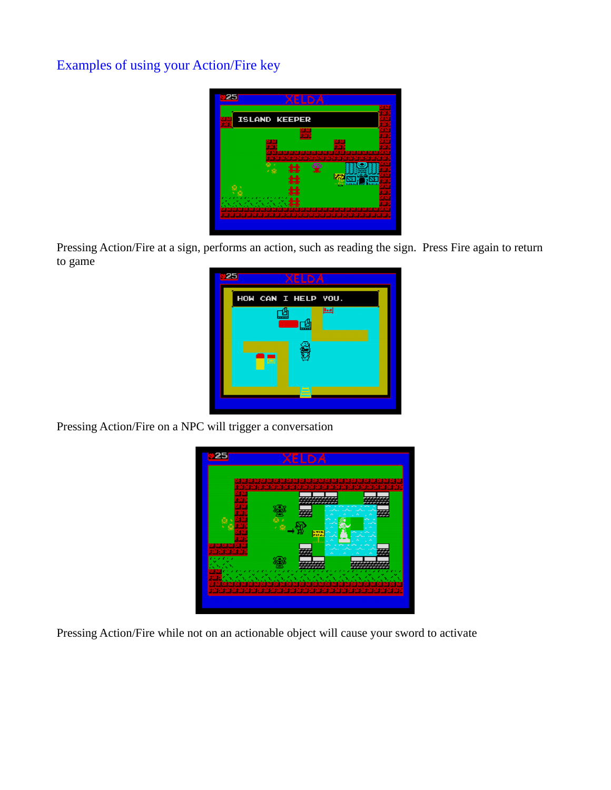# Examples of using your Action/Fire key



Pressing Action/Fire at a sign, performs an action, such as reading the sign. Press Fire again to return to game

| - 25 | <b>XELDA</b>                 |
|------|------------------------------|
|      | HOW CAN I HELP YOU.          |
|      | <b>Lut</b><br>$\overline{1}$ |
|      | 画                            |
|      |                              |

Pressing Action/Fire on a NPC will trigger a conversation

|   |          | я<br>я                     | я<br>н                  |            |          |
|---|----------|----------------------------|-------------------------|------------|----------|
|   | - 2<br>я | 25.7<br>2. 2               | اشتاشتاشت<br>- 2<br>. . | 2. 2<br>t. | استاساسا |
|   |          | ,,,,,,,<br>۰               |                         |            |          |
|   |          |                            |                         |            |          |
|   |          |                            |                         |            |          |
| ş |          |                            |                         |            |          |
|   |          | <b>STIP</b><br><b>PIPA</b> |                         |            |          |
|   |          |                            |                         |            |          |
|   |          |                            |                         |            |          |
|   |          |                            |                         |            |          |
| ź |          |                            |                         |            |          |
|   |          |                            |                         |            |          |

Pressing Action/Fire while not on an actionable object will cause your sword to activate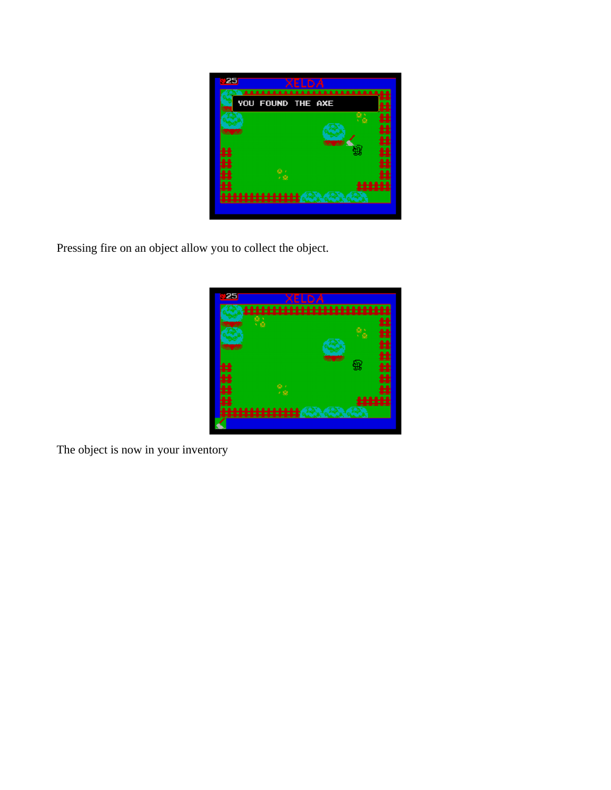

Pressing fire on an object allow you to collect the object.



The object is now in your inventory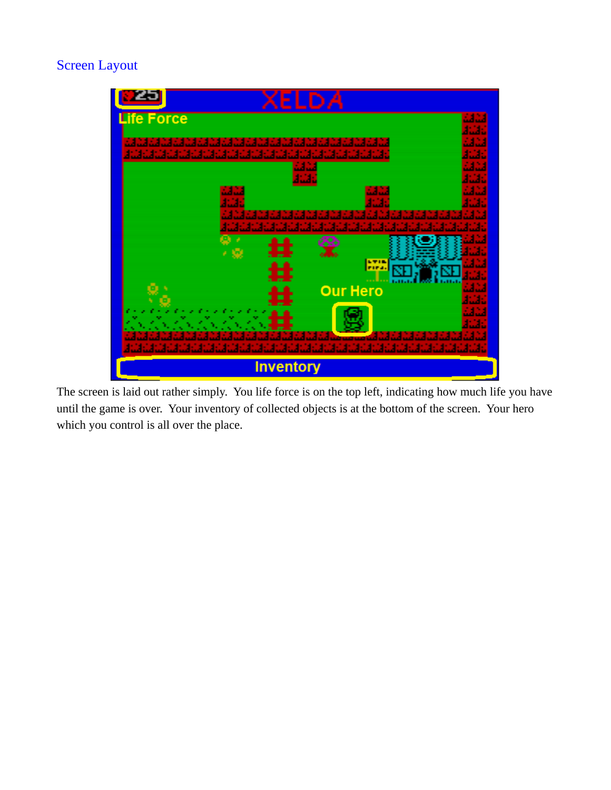# Screen Layout



The screen is laid out rather simply. You life force is on the top left, indicating how much life you have until the game is over. Your inventory of collected objects is at the bottom of the screen. Your hero which you control is all over the place.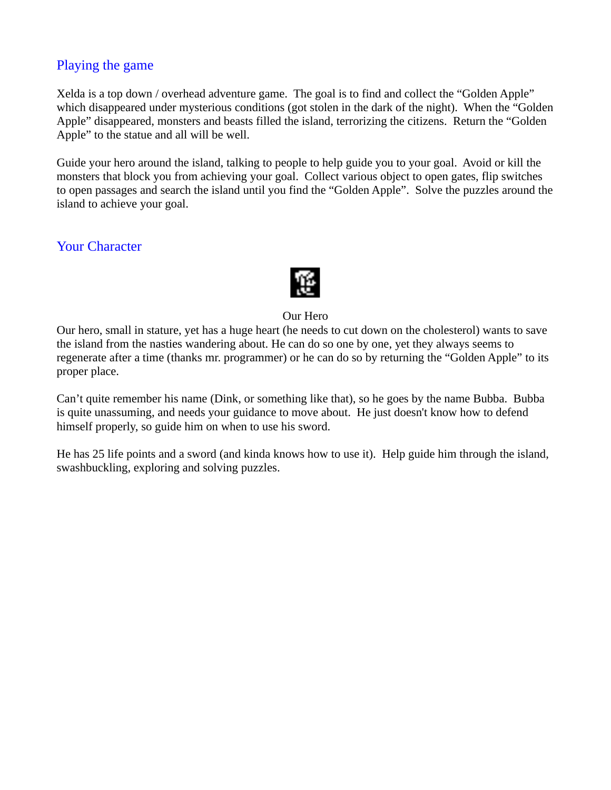## <span id="page-10-1"></span>Playing the game

Xelda is a top down / overhead adventure game. The goal is to find and collect the "Golden Apple" which disappeared under mysterious conditions (got stolen in the dark of the night). When the "Golden Apple" disappeared, monsters and beasts filled the island, terrorizing the citizens. Return the "Golden Apple" to the statue and all will be well.

Guide your hero around the island, talking to people to help guide you to your goal. Avoid or kill the monsters that block you from achieving your goal. Collect various object to open gates, flip switches to open passages and search the island until you find the "Golden Apple". Solve the puzzles around the island to achieve your goal.

# <span id="page-10-0"></span>Your Character



Our Hero

Our hero, small in stature, yet has a huge heart (he needs to cut down on the cholesterol) wants to save the island from the nasties wandering about. He can do so one by one, yet they always seems to regenerate after a time (thanks mr. programmer) or he can do so by returning the "Golden Apple" to its proper place.

Can't quite remember his name (Dink, or something like that), so he goes by the name Bubba. Bubba is quite unassuming, and needs your guidance to move about. He just doesn't know how to defend himself properly, so guide him on when to use his sword.

He has 25 life points and a sword (and kinda knows how to use it). Help guide him through the island, swashbuckling, exploring and solving puzzles.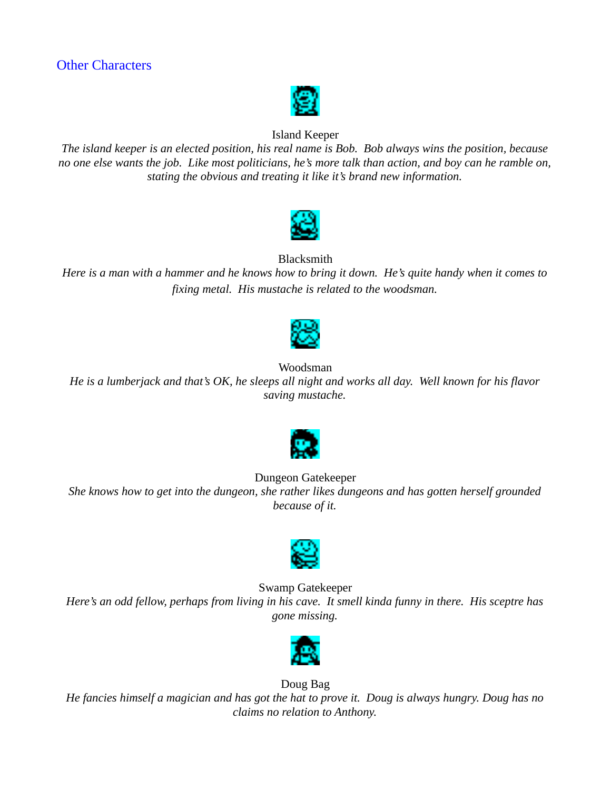

## Island Keeper

<span id="page-11-0"></span>*The island keeper is an elected position, his real name is Bob. Bob always wins the position, because no one else wants the job. Like most politicians, he's more talk than action, and boy can he ramble on, stating the obvious and treating it like it's brand new information.*



**Blacksmith** 

*Here is a man with a hammer and he knows how to bring it down. He's quite handy when it comes to fixing metal. His mustache is related to the woodsman.*



Woodsman

*He is a lumberjack and that's OK, he sleeps all night and works all day. Well known for his flavor saving mustache.*



Dungeon Gatekeeper *She knows how to get into the dungeon, she rather likes dungeons and has gotten herself grounded because of it.*



Swamp Gatekeeper

*Here's an odd fellow, perhaps from living in his cave. It smell kinda funny in there. His sceptre has gone missing.*



Doug Bag *He fancies himself a magician and has got the hat to prove it. Doug is always hungry. Doug has no claims no relation to Anthony.*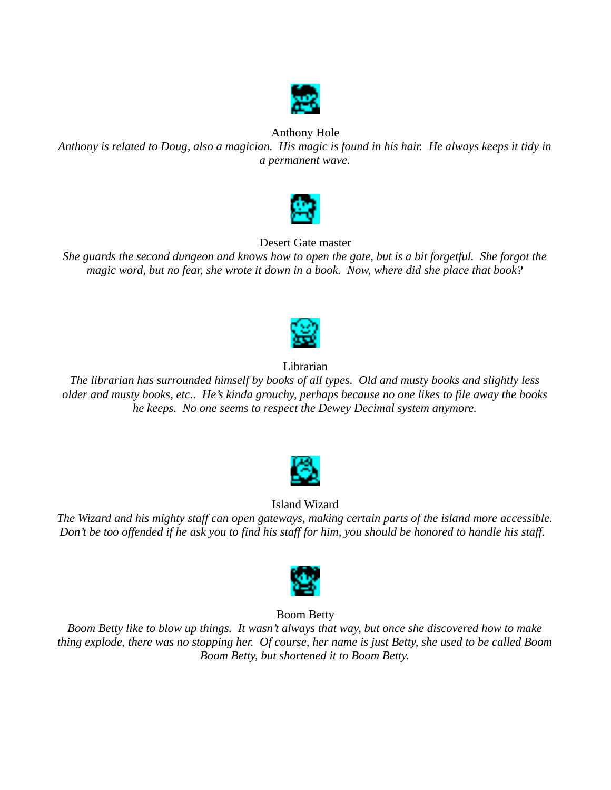

#### Anthony Hole

*Anthony is related to Doug, also a magician. His magic is found in his hair. He always keeps it tidy in a permanent wave.*



Desert Gate master

*She guards the second dungeon and knows how to open the gate, but is a bit forgetful. She forgot the magic word, but no fear, she wrote it down in a book. Now, where did she place that book?*



Librarian

*The librarian has surrounded himself by books of all types. Old and musty books and slightly less older and musty books, etc.. He's kinda grouchy, perhaps because no one likes to file away the books he keeps. No one seems to respect the Dewey Decimal system anymore.*



#### Island Wizard

*The Wizard and his mighty staff can open gateways, making certain parts of the island more accessible. Don't be too offended if he ask you to find his staff for him, you should be honored to handle his staff.* 



Boom Betty

*Boom Betty like to blow up things. It wasn't always that way, but once she discovered how to make thing explode, there was no stopping her. Of course, her name is just Betty, she used to be called Boom Boom Betty, but shortened it to Boom Betty.*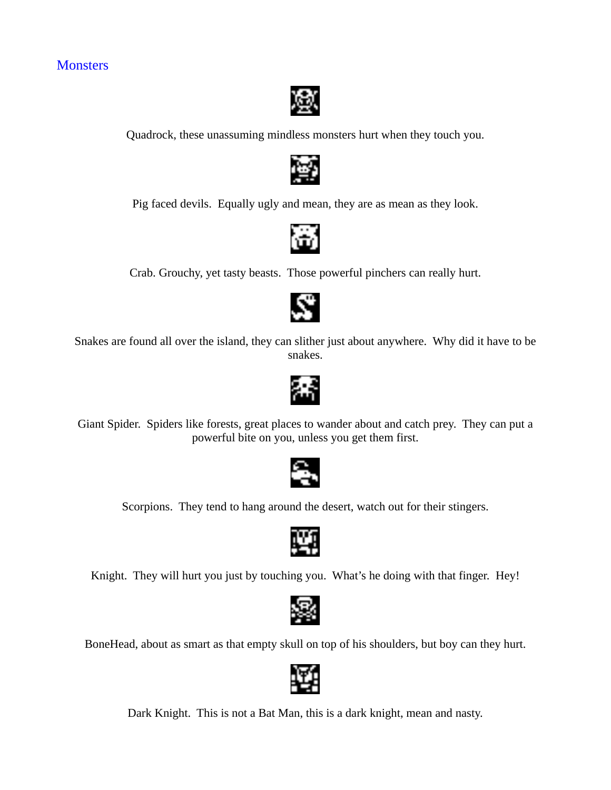# <span id="page-13-0"></span>**Monsters**



Quadrock, these unassuming mindless monsters hurt when they touch you.



Pig faced devils. Equally ugly and mean, they are as mean as they look.



Crab. Grouchy, yet tasty beasts. Those powerful pinchers can really hurt.



Snakes are found all over the island, they can slither just about anywhere. Why did it have to be snakes.



Giant Spider. Spiders like forests, great places to wander about and catch prey. They can put a powerful bite on you, unless you get them first.



Scorpions. They tend to hang around the desert, watch out for their stingers.



Knight. They will hurt you just by touching you. What's he doing with that finger. Hey!



BoneHead, about as smart as that empty skull on top of his shoulders, but boy can they hurt.



Dark Knight. This is not a Bat Man, this is a dark knight, mean and nasty.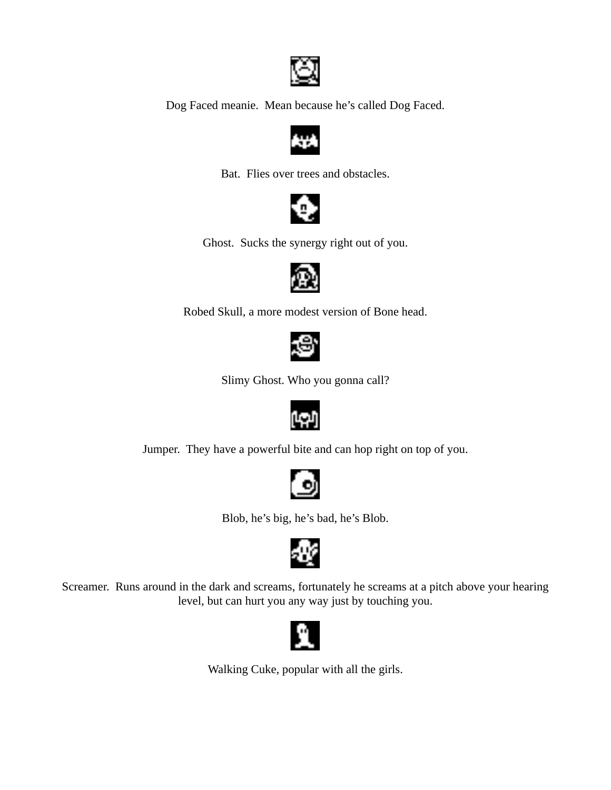

Dog Faced meanie. Mean because he's called Dog Faced.



Bat. Flies over trees and obstacles.



Ghost. Sucks the synergy right out of you.



Robed Skull, a more modest version of Bone head.



Slimy Ghost. Who you gonna call?



Jumper. They have a powerful bite and can hop right on top of you.



Blob, he's big, he's bad, he's Blob.



Screamer. Runs around in the dark and screams, fortunately he screams at a pitch above your hearing level, but can hurt you any way just by touching you.



Walking Cuke, popular with all the girls.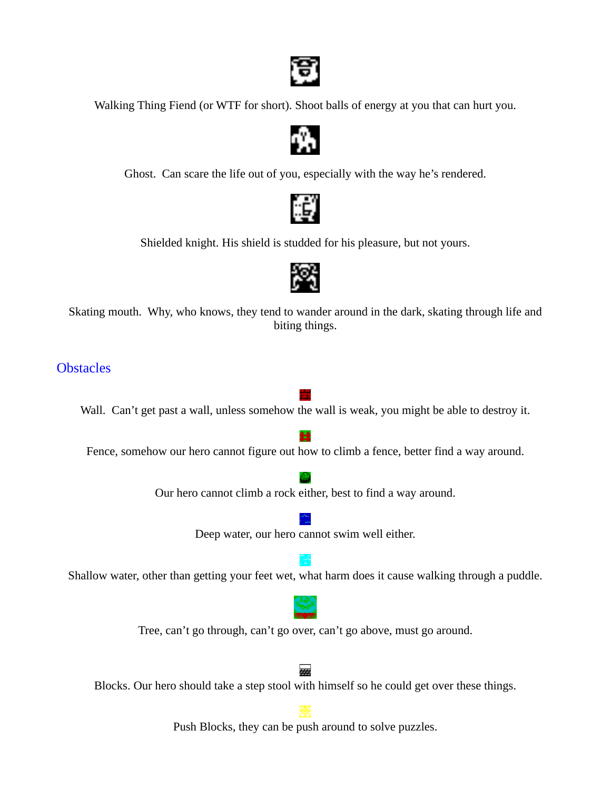

Walking Thing Fiend (or WTF for short). Shoot balls of energy at you that can hurt you.



Ghost. Can scare the life out of you, especially with the way he's rendered.



Shielded knight. His shield is studded for his pleasure, but not yours.



Skating mouth. Why, who knows, they tend to wander around in the dark, skating through life and biting things.

#### <span id="page-15-0"></span>**Obstacles**

Wall. Can't get past a wall, unless somehow the wall is weak, you might be able to destroy it.

Ħ Fence, somehow our hero cannot figure out how to climb a fence, better find a way around.

Our hero cannot climb a rock either, best to find a way around.

Deep water, our hero cannot swim well either.

Shallow water, other than getting your feet wet, what harm does it cause walking through a puddle.

Tree, can't go through, can't go over, can't go above, must go around.

222

Blocks. Our hero should take a step stool with himself so he could get over these things.

Push Blocks, they can be push around to solve puzzles.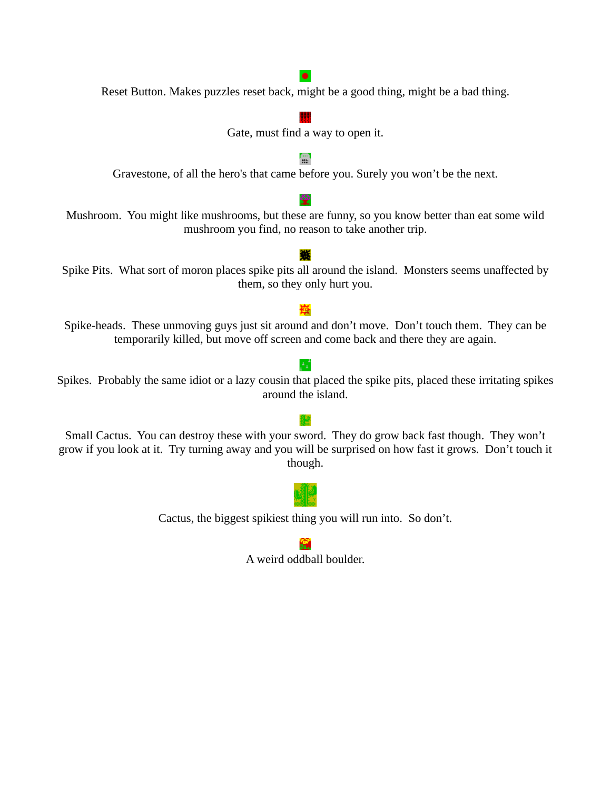# 儒 摰 mushroom you find, no reason to take another trip. 鑴 Spike Pits. What sort of moron places spike pits all around the island. Monsters seems unaffected by them, so they only hurt you. Spike-heads. These unmoving guys just sit around and don't move. Don't touch them. They can be temporarily killed, but move off screen and come back and there they are again.

Spikes. Probably the same idiot or a lazy cousin that placed the spike pits, placed these irritating spikes around the island.

ΑÊ

Small Cactus. You can destroy these with your sword. They do grow back fast though. They won't grow if you look at it. Try turning away and you will be surprised on how fast it grows. Don't touch it though.

Cactus, the biggest spikiest thing you will run into. So don't.

 $\bullet$ Reset Button. Makes puzzles reset back, might be a good thing, might be a bad thing.

# Gate, must find a way to open it.

Gravestone, of all the hero's that came before you. Surely you won't be the next.

Mushroom. You might like mushrooms, but these are funny, so you know better than eat some wild



廯 A weird oddball boulder.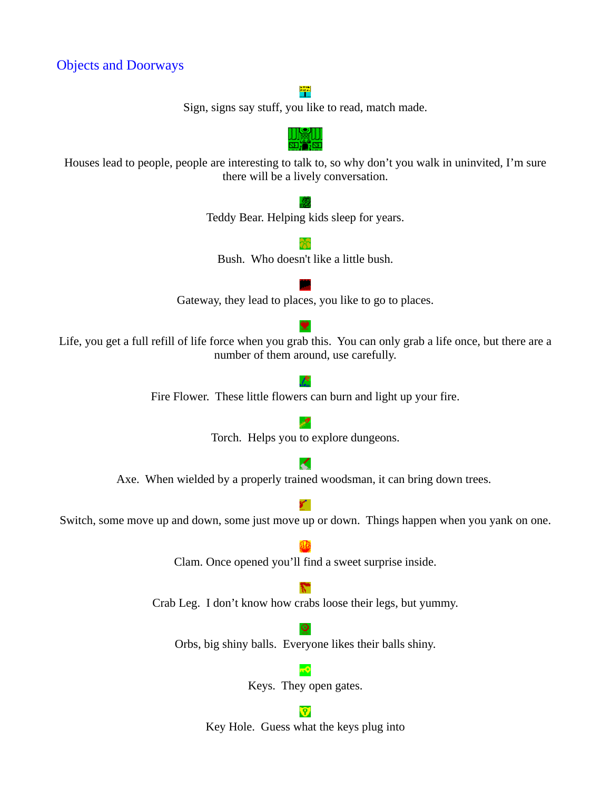## <span id="page-17-0"></span>Objects and Doorways

#### 罕

Sign, signs say stuff, you like to read, match made.



Houses lead to people, people are interesting to talk to, so why don't you walk in uninvited, I'm sure there will be a lively conversation.



Key Hole. Guess what the keys plug into